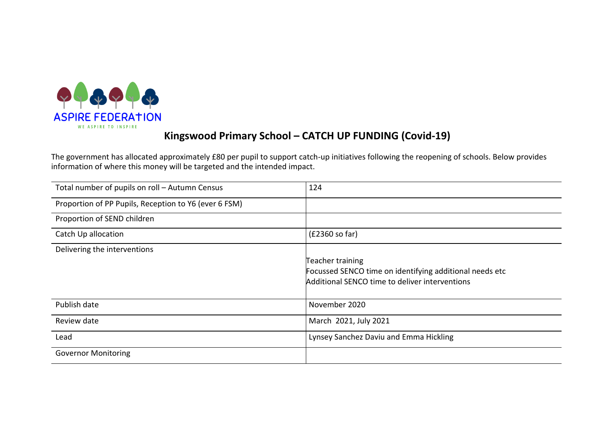

# Kingswood Primary School – CATCH UP FUNDING (Covid-19)

The government has allocated approximately £80 per pupil to support catch-up initiatives following the reopening of schools. Below provides information of where this money will be targeted and the intended impact.

| Total number of pupils on roll - Autumn Census        | 124                                                     |
|-------------------------------------------------------|---------------------------------------------------------|
| Proportion of PP Pupils, Reception to Y6 (ever 6 FSM) |                                                         |
| Proportion of SEND children                           |                                                         |
| Catch Up allocation                                   | (£2360 so far)                                          |
| Delivering the interventions                          |                                                         |
|                                                       | Teacher training                                        |
|                                                       | Focussed SENCO time on identifying additional needs etc |
|                                                       | Additional SENCO time to deliver interventions          |
| Publish date                                          | November 2020                                           |
| Review date                                           | March 2021, July 2021                                   |
| Lead                                                  | Lynsey Sanchez Daviu and Emma Hickling                  |
| <b>Governor Monitoring</b>                            |                                                         |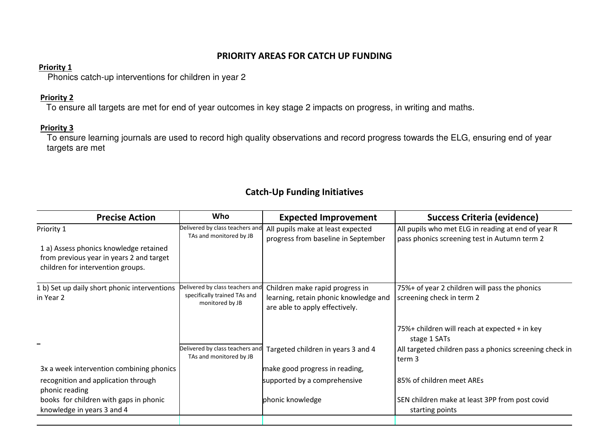### PRIORITY AREAS FOR CATCH UP FUNDING

#### Priority 1

Phonics catch-up interventions for children in year 2

#### Priority 2

To ensure all targets are met for end of year outcomes in key stage 2 impacts on progress, in writing and maths.

#### Priority 3

 To ensure learning journals are used to record high quality observations and record progress towards the ELG, ensuring end of year targets are met

## Catch-Up Funding Initiatives

| <b>Precise Action</b>                                                                                                   | Who                                                                                | <b>Expected Improvement</b>                                                                                | <b>Success Criteria (evidence)</b>                                                                 |
|-------------------------------------------------------------------------------------------------------------------------|------------------------------------------------------------------------------------|------------------------------------------------------------------------------------------------------------|----------------------------------------------------------------------------------------------------|
| Priority 1                                                                                                              | Delivered by class teachers and<br>TAs and monitored by JB                         | All pupils make at least expected<br>progress from baseline in September                                   | All pupils who met ELG in reading at end of year R<br>pass phonics screening test in Autumn term 2 |
| 1 a) Assess phonics knowledge retained<br>from previous year in years 2 and target<br>children for intervention groups. |                                                                                    |                                                                                                            |                                                                                                    |
| 1 b) Set up daily short phonic interventions<br>in Year 2                                                               | Delivered by class teachers and<br>specifically trained TAs and<br>monitored by JB | Children make rapid progress in<br>learning, retain phonic knowledge and<br>are able to apply effectively. | 75%+ of year 2 children will pass the phonics<br>screening check in term 2                         |
|                                                                                                                         |                                                                                    |                                                                                                            | 75%+ children will reach at expected + in key<br>stage 1 SATs                                      |
|                                                                                                                         | Delivered by class teachers and<br>TAs and monitored by JB                         | Targeted children in years 3 and 4                                                                         | All targeted children pass a phonics screening check in<br>term 3                                  |
| 3x a week intervention combining phonics                                                                                |                                                                                    | make good progress in reading,                                                                             |                                                                                                    |
| recognition and application through<br>phonic reading                                                                   |                                                                                    | supported by a comprehensive                                                                               | 85% of children meet AREs                                                                          |
| books for children with gaps in phonic                                                                                  |                                                                                    | phonic knowledge                                                                                           | SEN children make at least 3PP from post covid                                                     |
| knowledge in years 3 and 4                                                                                              |                                                                                    |                                                                                                            | starting points                                                                                    |
|                                                                                                                         |                                                                                    |                                                                                                            |                                                                                                    |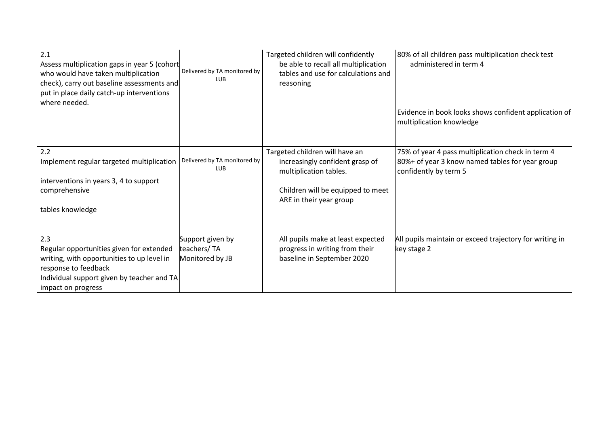| 2.1<br>Assess multiplication gaps in year 5 (cohort<br>who would have taken multiplication<br>check), carry out baseline assessments and<br>put in place daily catch-up interventions<br>where needed. | Delivered by TA monitored by<br><b>LUB</b>         | Targeted children will confidently<br>be able to recall all multiplication<br>tables and use for calculations and<br>reasoning                              | 80% of all children pass multiplication check test<br>administered in term 4<br>Evidence in book looks shows confident application of<br>multiplication knowledge |
|--------------------------------------------------------------------------------------------------------------------------------------------------------------------------------------------------------|----------------------------------------------------|-------------------------------------------------------------------------------------------------------------------------------------------------------------|-------------------------------------------------------------------------------------------------------------------------------------------------------------------|
| 2.2<br>Implement regular targeted multiplication<br>interventions in years 3, 4 to support<br>comprehensive<br>tables knowledge                                                                        | Delivered by TA monitored by<br><b>LUB</b>         | Targeted children will have an<br>increasingly confident grasp of<br>multiplication tables.<br>Children will be equipped to meet<br>ARE in their year group | 75% of year 4 pass multiplication check in term 4<br>80%+ of year 3 know named tables for year group<br>confidently by term 5                                     |
| 2.3<br>Regular opportunities given for extended<br>writing, with opportunities to up level in<br>response to feedback<br>Individual support given by teacher and TA<br>impact on progress              | Support given by<br>teachers/TA<br>Monitored by JB | All pupils make at least expected<br>progress in writing from their<br>baseline in September 2020                                                           | All pupils maintain or exceed trajectory for writing in<br>key stage 2                                                                                            |